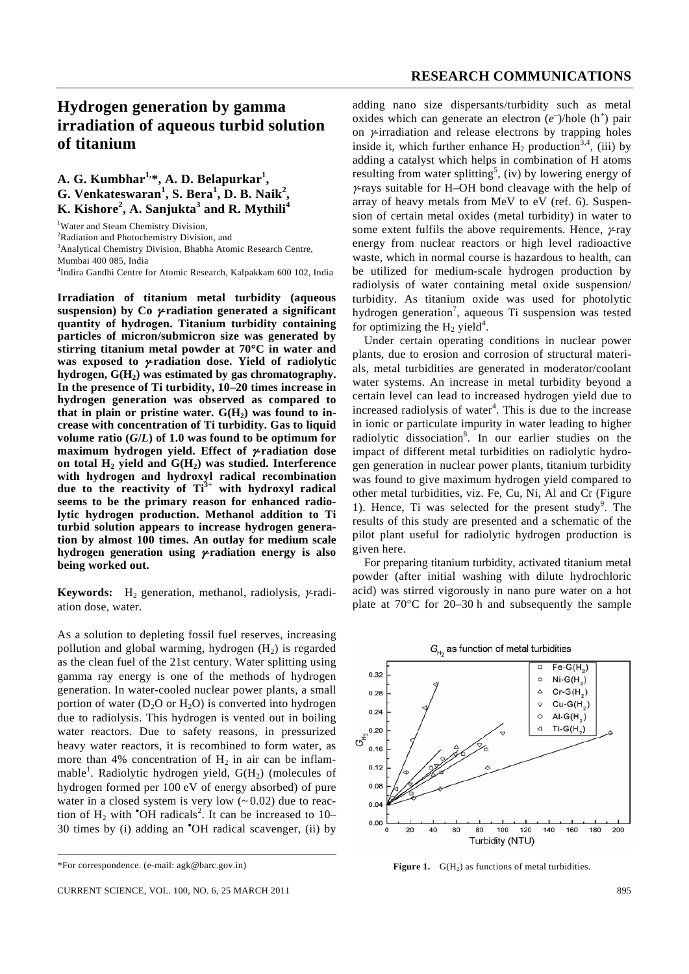## **Hydrogen generation by gamma irradiation of aqueous turbid solution of titanium**

## **A. G. Kumbhar1,\*, A. D. Belapurkar1 , G. Venkateswaran<sup>1</sup> , S. Bera<sup>1</sup> , D. B. Naik<sup>2</sup> , K. Kishore<sup>2</sup> , A. Sanjukta<sup>3</sup> and R. Mythili<sup>4</sup>**

<sup>2</sup>Radiation and Photochemistry Division, and

<sup>3</sup> Analytical Chemistry Division, Bhabha Atomic Research Centre,

Mumbai 400 085, India

4 Indira Gandhi Centre for Atomic Research, Kalpakkam 600 102, India

**Irradiation of titanium metal turbidity (aqueous suspension) by Co** γ**-radiation generated a significant quantity of hydrogen. Titanium turbidity containing particles of micron/submicron size was generated by stirring titanium metal powder at 70**°**C in water and was exposed to** γ**-radiation dose. Yield of radiolytic**  hydrogen,  $G(H_2)$  was estimated by gas chromatography. **In the presence of Ti turbidity, 10–20 times increase in hydrogen generation was observed as compared to**  that in plain or pristine water.  $G(H_2)$  was found to in**crease with concentration of Ti turbidity. Gas to liquid**  volume ratio  $(G/L)$  of 1.0 was found to be optimum for **maximum hydrogen yield. Effect of** γ**-radiation dose**  on total  $H_2$  yield and  $G(H_2)$  was studied. Interference **with hydrogen and hydroxyl radical recombination due to the reactivity of Ti3+ with hydroxyl radical seems to be the primary reason for enhanced radiolytic hydrogen production. Methanol addition to Ti turbid solution appears to increase hydrogen generation by almost 100 times. An outlay for medium scale hydrogen generation using** γ**-radiation energy is also being worked out.** 

**Keywords:** H<sub>2</sub> generation, methanol, radiolysis,  $\gamma$ -radiation dose, water.

AS a solution to depleting fossil fuel reserves, increasing pollution and global warming, hydrogen  $(H<sub>2</sub>)$  is regarded as the clean fuel of the 21st century. Water splitting using gamma ray energy is one of the methods of hydrogen generation. In water-cooled nuclear power plants, a small portion of water  $(D_2O$  or  $H_2O$ ) is converted into hydrogen due to radiolysis. This hydrogen is vented out in boiling water reactors. Due to safety reasons, in pressurized heavy water reactors, it is recombined to form water, as more than 4% concentration of  $H_2$  in air can be inflammable<sup>1</sup>. Radiolytic hydrogen yield, G(H<sub>2</sub>) (molecules of hydrogen formed per 100 eV of energy absorbed) of pure water in a closed system is very low  $(-0.02)$  due to reaction of  $H_2$  with  $^{\bullet}$ OH radicals<sup>2</sup>. It can be increased to 10– 30 times by (i) adding an • OH radical scavenger, (ii) by adding nano size dispersants/turbidity such as metal oxides which can generate an electron  $(e^-)/$ hole  $(h^+)$  pair on γ-irradiation and release electrons by trapping holes inside it, which further enhance  $H_2$  production<sup>3,4</sup>, (iii) by adding a catalyst which helps in combination of H atoms resulting from water splitting<sup>5</sup>, (iv) by lowering energy of γ-rays suitable for H–OH bond cleavage with the help of array of heavy metals from MeV to eV (ref. 6). Suspension of certain metal oxides (metal turbidity) in water to some extent fulfils the above requirements. Hence,  $\gamma$ -ray energy from nuclear reactors or high level radioactive waste, which in normal course is hazardous to health, can be utilized for medium-scale hydrogen production by radiolysis of water containing metal oxide suspension/ turbidity. As titanium oxide was used for photolytic hydrogen generation<sup>7</sup>, aqueous Ti suspension was tested for optimizing the  $H_2$  yield<sup>4</sup>.

 Under certain operating conditions in nuclear power plants, due to erosion and corrosion of structural materials, metal turbidities are generated in moderator/coolant water systems. An increase in metal turbidity beyond a certain level can lead to increased hydrogen yield due to increased radiolysis of water $4$ . This is due to the increase in ionic or particulate impurity in water leading to higher radiolytic dissociation<sup>8</sup>. In our earlier studies on the impact of different metal turbidities on radiolytic hydrogen generation in nuclear power plants, titanium turbidity was found to give maximum hydrogen yield compared to other metal turbidities, viz. Fe, Cu, Ni, Al and Cr (Figure 1). Hence, Ti was selected for the present study<sup>9</sup>. The results of this study are presented and a schematic of the pilot plant useful for radiolytic hydrogen production is given here.

 For preparing titanium turbidity, activated titanium metal powder (after initial washing with dilute hydrochloric acid) was stirred vigorously in nano pure water on a hot plate at 70°C for 20–30 h and subsequently the sample



**Figure 1.**  $G(H_2)$  as functions of metal turbidities.

<sup>&</sup>lt;sup>1</sup>Water and Steam Chemistry Division,

<sup>\*</sup>For correspondence. (e-mail: agk@barc.gov.in)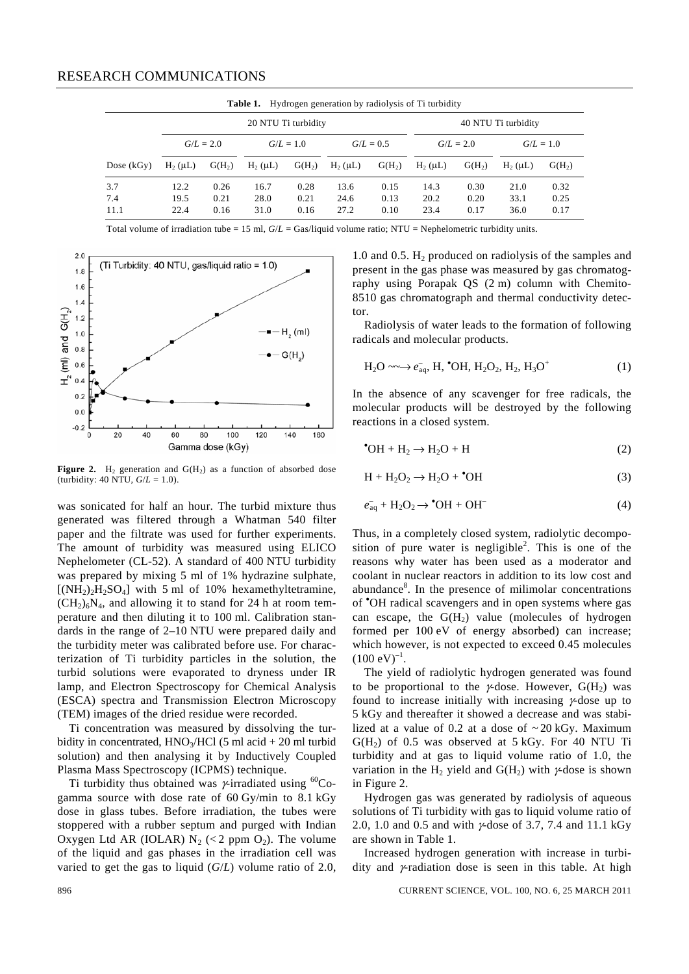| Hydrogen generation by radiolysis of Ti turbidity<br>Table 1. |              |          |              |          |              |                     |              |          |              |          |
|---------------------------------------------------------------|--------------|----------|--------------|----------|--------------|---------------------|--------------|----------|--------------|----------|
| 20 NTU Ti turbidity                                           |              |          |              |          |              | 40 NTU Ti turbidity |              |          |              |          |
|                                                               | $G/L = 2.0$  |          | $G/L = 1.0$  |          | $G/L = 0.5$  |                     | $G/L = 2.0$  |          | $G/L = 1.0$  |          |
| Dose $(kGv)$                                                  | $H_2(\mu L)$ | $G(H_2)$ | $H_2(\mu L)$ | $G(H_2)$ | $H_2(\mu L)$ | $G(H_2)$            | $H_2(\mu L)$ | $G(H_2)$ | $H_2(\mu L)$ | $G(H_2)$ |
| 3.7                                                           | 12.2         | 0.26     | 16.7         | 0.28     | 13.6         | 0.15                | 14.3         | 0.30     | 21.0         | 0.32     |
| 7.4                                                           | 19.5         | 0.21     | 28.0         | 0.21     | 24.6         | 0.13                | 20.2         | 0.20     | 33.1         | 0.25     |
| 11.1                                                          | 22.4         | 0.16     | 31.0         | 0.16     | 27.2         | 0.10                | 23.4         | 0.17     | 36.0         | 0.17     |

Total volume of irradiation tube = 15 ml, *G*/*L* = Gas/liquid volume ratio; NTU = Nephelometric turbidity units.



**Figure 2.** H<sub>2</sub> generation and  $G(H_2)$  as a function of absorbed dose (turbidity: 40 NTU,  $G/L = 1.0$ ).

was sonicated for half an hour. The turbid mixture thus generated was filtered through a Whatman 540 filter paper and the filtrate was used for further experiments. The amount of turbidity was measured using ELICO Nephelometer (CL-52). A standard of 400 NTU turbidity was prepared by mixing 5 ml of 1% hydrazine sulphate,  $[(NH<sub>2</sub>)<sub>2</sub>H<sub>2</sub>SO<sub>4</sub>]$  with 5 ml of 10% hexamethyltetramine,  $(CH<sub>2</sub>)<sub>6</sub>N<sub>4</sub>$ , and allowing it to stand for 24 h at room temperature and then diluting it to 100 ml. Calibration standards in the range of 2–10 NTU were prepared daily and the turbidity meter was calibrated before use. For characterization of Ti turbidity particles in the solution, the turbid solutions were evaporated to dryness under IR lamp, and Electron Spectroscopy for Chemical Analysis (ESCA) spectra and Transmission Electron Microscopy (TEM) images of the dried residue were recorded.

 Ti concentration was measured by dissolving the turbidity in concentrated,  $HNO<sub>3</sub>/HCl$  (5 ml acid + 20 ml turbid solution) and then analysing it by Inductively Coupled Plasma Mass Spectroscopy (ICPMS) technique.

Ti turbidity thus obtained was  $\gamma$ -irradiated using <sup>60</sup>Cogamma source with dose rate of 60 Gy/min to 8.1 kGy dose in glass tubes. Before irradiation, the tubes were stoppered with a rubber septum and purged with Indian Oxygen Ltd AR (IOLAR)  $N_2$  (< 2 ppm O<sub>2</sub>). The volume of the liquid and gas phases in the irradiation cell was varied to get the gas to liquid (*G*/*L*) volume ratio of 2.0,

1.0 and 0.5.  $H_2$  produced on radiolysis of the samples and present in the gas phase was measured by gas chromatography using Porapak QS (2 m) column with Chemito-8510 gas chromatograph and thermal conductivity detector.

 Radiolysis of water leads to the formation of following radicals and molecular products.

$$
H_2O \longrightarrow e_{aq}^-, H, \text{ OH}, H_2O_2, H_2, H_3O^+ \tag{1}
$$

In the absence of any scavenger for free radicals, the molecular products will be destroyed by the following reactions in a closed system.

$$
^{\bullet}OH + H_2 \rightarrow H_2O + H \tag{2}
$$

$$
H + H_2O_2 \rightarrow H_2O + \bullet OH \tag{3}
$$

$$
e_{aq}^- + H_2O_2 \rightarrow \text{°OH} + OH^-
$$
 (4)

Thus, in a completely closed system, radiolytic decomposition of pure water is negligible<sup>2</sup>. This is one of the reasons why water has been used as a moderator and coolant in nuclear reactors in addition to its low cost and abundance<sup>8</sup>. In the presence of milimolar concentrations of • OH radical scavengers and in open systems where gas can escape, the  $G(H_2)$  value (molecules of hydrogen formed per 100 eV of energy absorbed) can increase; which however, is not expected to exceed 0.45 molecules  $(100 \text{ eV})^{-1}$ .

 The yield of radiolytic hydrogen generated was found to be proportional to the  $\gamma$ -dose. However,  $G(H_2)$  was found to increase initially with increasing γ-dose up to 5 kGy and thereafter it showed a decrease and was stabilized at a value of 0.2 at a dose of  $\sim$  20 kGy. Maximum  $G(H<sub>2</sub>)$  of 0.5 was observed at 5 kGy. For 40 NTU Ti turbidity and at gas to liquid volume ratio of 1.0, the variation in the H<sub>2</sub> yield and  $G(H_2)$  with  $\gamma$ -dose is shown in Figure 2.

 Hydrogen gas was generated by radiolysis of aqueous solutions of Ti turbidity with gas to liquid volume ratio of 2.0, 1.0 and 0.5 and with γ-dose of 3.7, 7.4 and 11.1 kGy are shown in Table 1.

 Increased hydrogen generation with increase in turbidity and γ-radiation dose is seen in this table. At high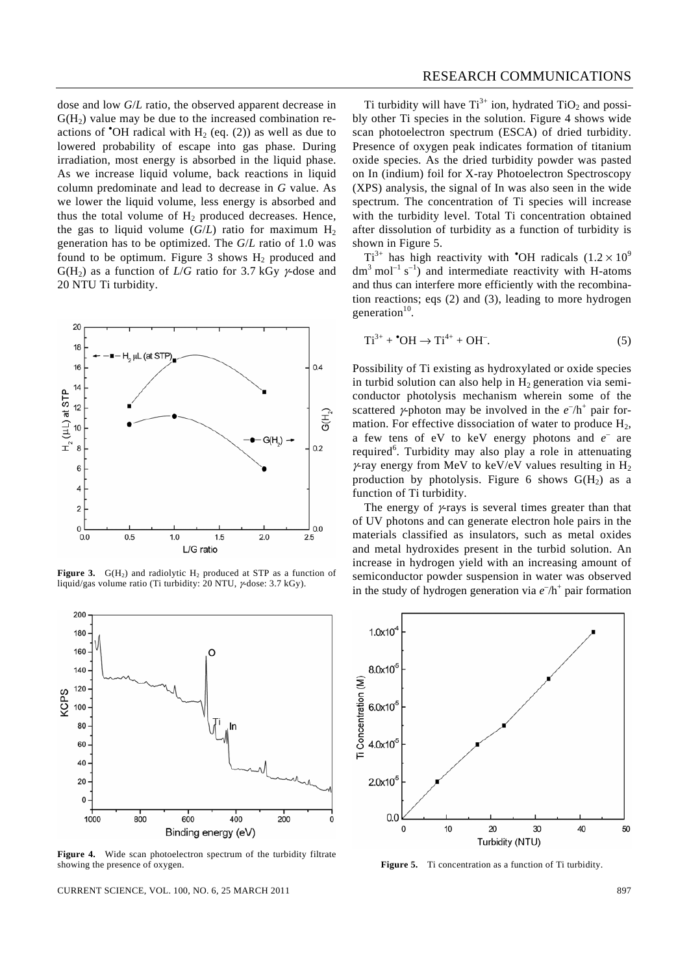dose and low *G*/*L* ratio, the observed apparent decrease in  $G(H<sub>2</sub>)$  value may be due to the increased combination reactions of  $\bullet$ OH radical with H<sub>2</sub> (eq. (2)) as well as due to lowered probability of escape into gas phase. During irradiation, most energy is absorbed in the liquid phase. As we increase liquid volume, back reactions in liquid column predominate and lead to decrease in *G* value. As we lower the liquid volume, less energy is absorbed and thus the total volume of  $H_2$  produced decreases. Hence, the gas to liquid volume  $(G/L)$  ratio for maximum  $H_2$ generation has to be optimized. The *G*/*L* ratio of 1.0 was found to be optimum. Figure 3 shows  $H_2$  produced and  $G(H_2)$  as a function of *L/G* ratio for 3.7 kGy  $\gamma$ -dose and 20 NTU Ti turbidity.



**Figure 3.**  $G(H_2)$  and radiolytic  $H_2$  produced at STP as a function of liquid/gas volume ratio (Ti turbidity: 20 NTU, γ-dose: 3.7 kGy).



Figure 4. Wide scan photoelectron spectrum of the turbidity filtrate showing the presence of oxygen.

CURRENT SCIENCE, VOL. 100, NO. 6, 25 MARCH 2011 897

Ti turbidity will have  $Ti^{3+}$  ion, hydrated  $TiO_2$  and possibly other Ti species in the solution. Figure 4 shows wide scan photoelectron spectrum (ESCA) of dried turbidity. Presence of oxygen peak indicates formation of titanium oxide species. As the dried turbidity powder was pasted on In (indium) foil for X-ray Photoelectron Spectroscopy (XPS) analysis, the signal of In was also seen in the wide spectrum. The concentration of Ti species will increase with the turbidity level. Total Ti concentration obtained after dissolution of turbidity as a function of turbidity is shown in Figure 5.

 $Ti^{3+}$  has high reactivity with 'OH radicals  $(1.2 \times 10^9)$  $dm<sup>3</sup>$  mol<sup>-1</sup> s<sup>-1</sup>) and intermediate reactivity with H-atoms and thus can interfere more efficiently with the recombination reactions; eqs (2) and (3), leading to more hydrogen generation $10$ .

$$
\text{Ti}^{3+} + \text{^•OH} \rightarrow \text{Ti}^{4+} + \text{OH}^-.
$$
 (5)

Possibility of Ti existing as hydroxylated or oxide species in turbid solution can also help in  $H_2$  generation via semiconductor photolysis mechanism wherein some of the scattered  $\gamma$ -photon may be involved in the  $e^{-}/h^{+}$  pair formation. For effective dissociation of water to produce  $H_2$ , a few tens of  $eV$  to keV energy photons and  $e^-$  are required<sup>6</sup>. Turbidity may also play a role in attenuating  $\gamma$ -ray energy from MeV to keV/eV values resulting in H<sub>2</sub> production by photolysis. Figure 6 shows  $G(H_2)$  as a function of Ti turbidity.

The energy of  $\gamma$ -rays is several times greater than that of UV photons and can generate electron hole pairs in the materials classified as insulators, such as metal oxides and metal hydroxides present in the turbid solution. An increase in hydrogen yield with an increasing amount of semiconductor powder suspension in water was observed in the study of hydrogen generation via  $e^{-}/h^{+}$  pair formation



Figure 5. Ti concentration as a function of Ti turbidity.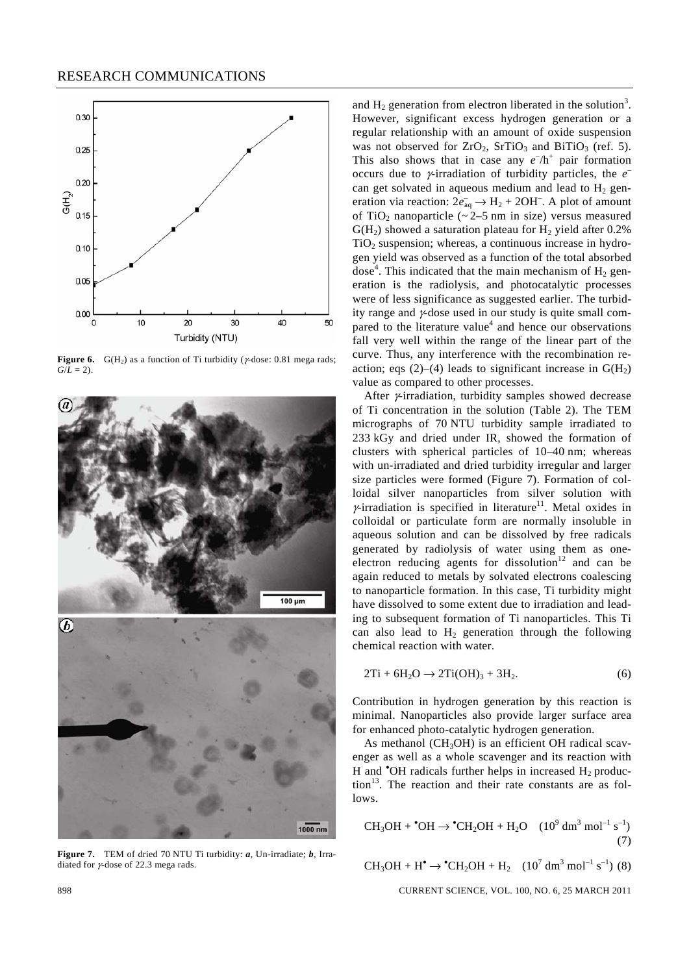

**Figure 6.** G(H<sub>2</sub>) as a function of Ti turbidity ( $\gamma$ -dose: 0.81 mega rads;  $G/I = 2$ .



**Figure 7.** TEM of dried 70 NTU Ti turbidity: *a*, Un-irradiate; *b*, Irradiated for γ-dose of 22.3 mega rads.

and  $H_2$  generation from electron liberated in the solution<sup>3</sup>. However, significant excess hydrogen generation or a regular relationship with an amount of oxide suspension was not observed for  $ZrO_2$ ,  $SrTiO_3$  and  $BiTIO_3$  (ref. 5). This also shows that in case any  $e^{-}/h^{+}$  pair formation occurs due to γ-irradiation of turbidity particles, the *e*– can get solvated in aqueous medium and lead to  $H_2$  generation via reaction:  $2e_{aq}^- \rightarrow H_2 + 2OH^-$ . A plot of amount of TiO<sub>2</sub> nanoparticle ( $\sim$  2–5 nm in size) versus measured  $G(H<sub>2</sub>)$  showed a saturation plateau for  $H<sub>2</sub>$  yield after 0.2%  $TiO<sub>2</sub>$  suspension; whereas, a continuous increase in hydrogen yield was observed as a function of the total absorbed dose<sup>4</sup>. This indicated that the main mechanism of  $H_2$  generation is the radiolysis, and photocatalytic processes were of less significance as suggested earlier. The turbidity range and γ-dose used in our study is quite small compared to the literature value<sup>4</sup> and hence our observations fall very well within the range of the linear part of the curve. Thus, any interference with the recombination reaction; eqs (2)–(4) leads to significant increase in  $G(H_2)$ value as compared to other processes.

After *γ*-irradiation, turbidity samples showed decrease of Ti concentration in the solution (Table 2). The TEM micrographs of 70 NTU turbidity sample irradiated to 233 kGy and dried under IR, showed the formation of clusters with spherical particles of 10–40 nm; whereas with un-irradiated and dried turbidity irregular and larger size particles were formed (Figure 7). Formation of colloidal silver nanoparticles from silver solution with  $\gamma$ -irradiation is specified in literature<sup>11</sup>. Metal oxides in colloidal or particulate form are normally insoluble in aqueous solution and can be dissolved by free radicals generated by radiolysis of water using them as oneelectron reducing agents for dissolution<sup>12</sup> and can be again reduced to metals by solvated electrons coalescing to nanoparticle formation. In this case, Ti turbidity might have dissolved to some extent due to irradiation and leading to subsequent formation of Ti nanoparticles. This Ti can also lead to  $H_2$  generation through the following chemical reaction with water.

$$
2Ti + 6H2O \rightarrow 2Ti(OH)3 + 3H2.
$$
 (6)

Contribution in hydrogen generation by this reaction is minimal. Nanoparticles also provide larger surface area for enhanced photo-catalytic hydrogen generation.

As methanol (CH<sub>3</sub>OH) is an efficient OH radical scavenger as well as a whole scavenger and its reaction with H and  $\textdegree$ OH radicals further helps in increased  $H_2$  produc- $\text{tion}^{13}$ . The reaction and their rate constants are as follows.

$$
CH3OH + °OH \rightarrow °CH2OH + H2O (109 dm3 mol-1 s-1)
$$
\n(7)

 $CH_3OH + H^{\bullet} \rightarrow {}^{\bullet}CH_2OH + H_2$  (10<sup>7</sup> dm<sup>3</sup> mol<sup>-1</sup> s<sup>-1</sup>) (8)

898 CURRENT SCIENCE, VOL. 100, NO. 6, 25 MARCH 2011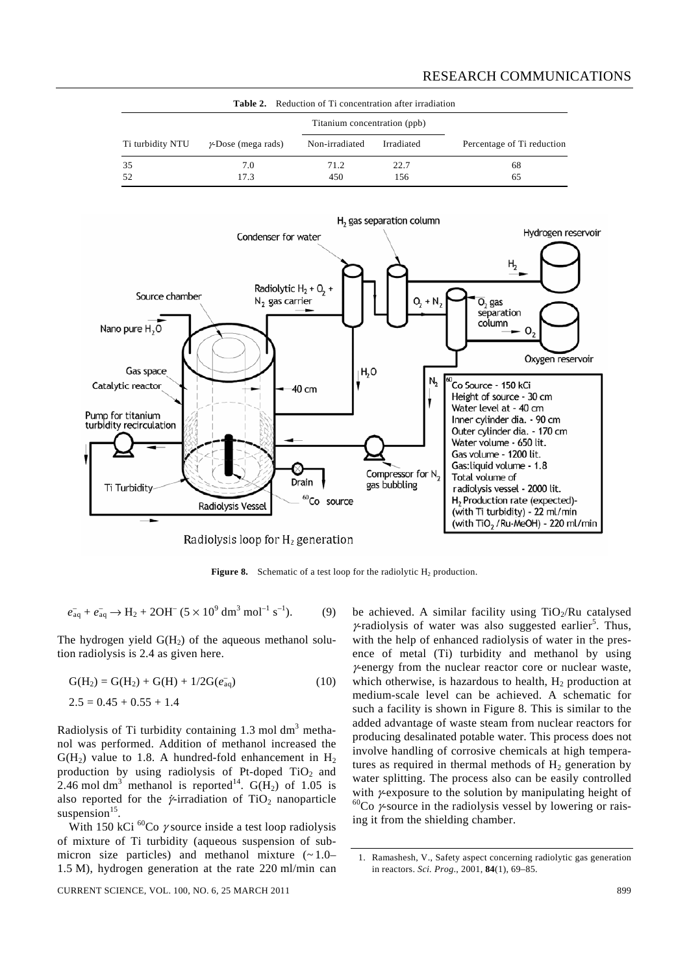#### RESEARCH COMMUNICATIONS

| <b>Table 2.</b> Reduction of Ti concentration after irradiation |                            |                              |             |                            |  |  |  |  |  |  |
|-----------------------------------------------------------------|----------------------------|------------------------------|-------------|----------------------------|--|--|--|--|--|--|
|                                                                 |                            | Titanium concentration (ppb) |             |                            |  |  |  |  |  |  |
| Ti turbidity NTU                                                | $\gamma$ -Dose (mega rads) | Non-irradiated               | Irradiated  | Percentage of Ti reduction |  |  |  |  |  |  |
| 35<br>52                                                        | 7.0<br>17.3                | 71.2<br>450                  | 22.7<br>156 | 68<br>65                   |  |  |  |  |  |  |



**Figure 8.** Schematic of a test loop for the radiolytic  $H_2$  production.

 $e_{\text{aq}}^- + e_{\text{aq}}^- \rightarrow H_2 + 2OH^- (5 \times 10^9 \text{ dm}^3 \text{ mol}^{-1} \text{ s}^{-1}).$  (9)

The hydrogen yield  $G(H<sub>2</sub>)$  of the aqueous methanol solution radiolysis is 2.4 as given here.

$$
G(H2) = G(H2) + G(H) + 1/2G(eaq)
$$
\n(10)\n  
\n2.5 = 0.45 + 0.55 + 1.4

Radiolysis of Ti turbidity containing  $1.3 \text{ mol dm}^3$  methanol was performed. Addition of methanol increased the  $G(H<sub>2</sub>)$  value to 1.8. A hundred-fold enhancement in  $H<sub>2</sub>$ production by using radiolysis of Pt-doped  $TiO<sub>2</sub>$  and 2.46 mol dm<sup>3</sup> methanol is reported<sup>14</sup>.  $G(H_2)$  of 1.05 is 2.40 mortuin includion is reported .  $G(12)$  or  $1.05$  is<br>also reported for the *γ*-irradiation of TiO<sub>2</sub> nanoparticle suspension $15$ .

With 150 kCi  ${}^{60}$ Co  $\gamma$  source inside a test loop radiolysis of mixture of Ti turbidity (aqueous suspension of submicron size particles) and methanol mixture  $(-1.0-$ 1.5 M), hydrogen generation at the rate 220 ml/min can

be achieved. A similar facility using  $TiO<sub>2</sub>/Ru$  catalysed  $\gamma$ -radiolysis of water was also suggested earlier<sup>5</sup>. Thus, with the help of enhanced radiolysis of water in the presence of metal (Ti) turbidity and methanol by using γ-energy from the nuclear reactor core or nuclear waste, which otherwise, is hazardous to health,  $H_2$  production at medium-scale level can be achieved. A schematic for such a facility is shown in Figure 8. This is similar to the added advantage of waste steam from nuclear reactors for producing desalinated potable water. This process does not involve handling of corrosive chemicals at high temperatures as required in thermal methods of  $H_2$  generation by water splitting. The process also can be easily controlled with *γ*-exposure to the solution by manipulating height of  ${}^{60}Co$  *γ*-source in the radiolysis vessel by lowering or raising it from the shielding chamber.

<sup>1.</sup> Ramashesh, V., Safety aspect concerning radiolytic gas generation in reactors. *Sci. Prog*., 2001, **84**(1), 69–85.